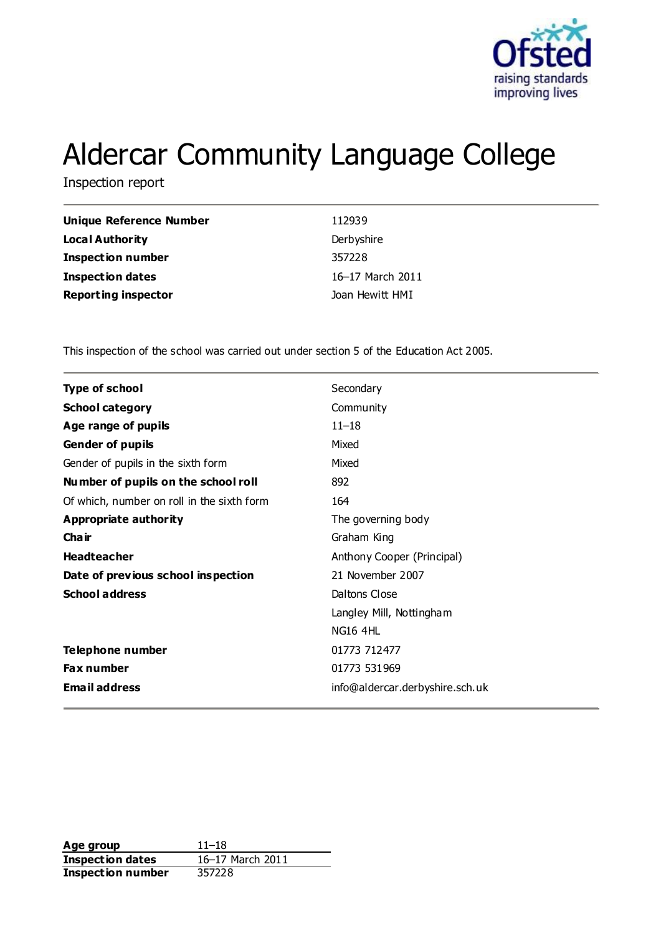

# Aldercar Community Language College

Inspection report

| Unique Reference Number    | 112939           |
|----------------------------|------------------|
| Local Authority            | Derbyshire       |
| <b>Inspection number</b>   | 357228           |
| <b>Inspection dates</b>    | 16-17 March 2011 |
| <b>Reporting inspector</b> | Joan Hewitt HMI  |

This inspection of the school was carried out under section 5 of the Education Act 2005.

| <b>Type of school</b>                      | Secondary                       |
|--------------------------------------------|---------------------------------|
| <b>School category</b>                     | Community                       |
| Age range of pupils                        | $11 - 18$                       |
| <b>Gender of pupils</b>                    | Mixed                           |
| Gender of pupils in the sixth form         | Mixed                           |
| Number of pupils on the school roll        | 892                             |
| Of which, number on roll in the sixth form | 164                             |
| Appropriate authority                      | The governing body              |
| Cha ir                                     | Graham King                     |
| <b>Headteacher</b>                         | Anthony Cooper (Principal)      |
| Date of previous school inspection         | 21 November 2007                |
| <b>School address</b>                      | Daltons Close                   |
|                                            | Langley Mill, Nottingham        |
|                                            | <b>NG16 4HL</b>                 |
| <b>Telephone number</b>                    | 01773 712477                    |
| <b>Fax number</b>                          | 01773 531969                    |
| <b>Email address</b>                       | info@aldercar.derbyshire.sch.uk |
|                                            |                                 |

**Age group** 11–18<br> **Inspection dates** 16–17 March 2011 **Inspection dates Inspection number** 357228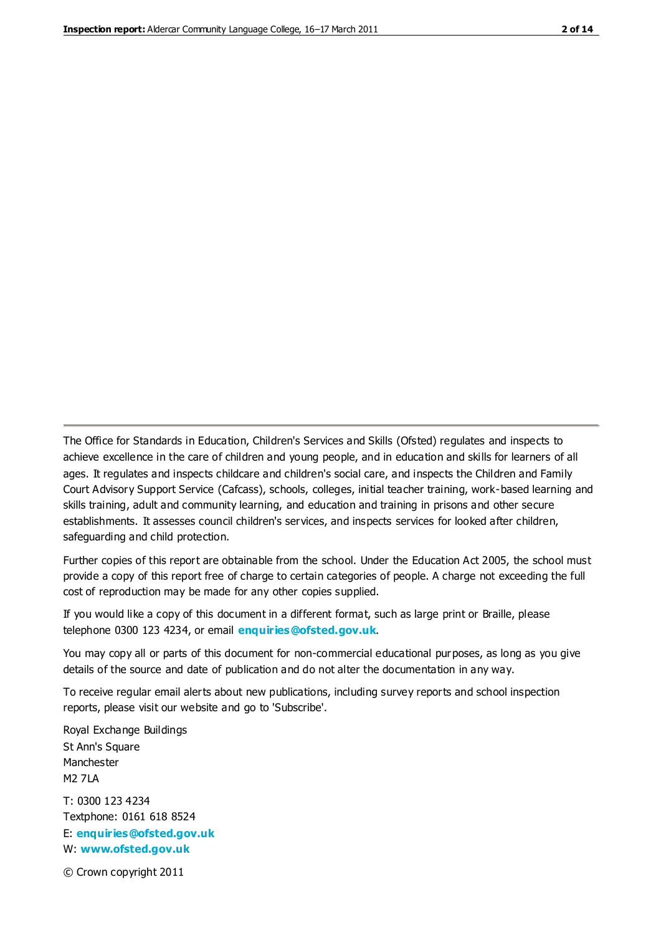The Office for Standards in Education, Children's Services and Skills (Ofsted) regulates and inspects to achieve excellence in the care of children and young people, and in education and skills for learners of all ages. It regulates and inspects childcare and children's social care, and inspects the Children and Family Court Advisory Support Service (Cafcass), schools, colleges, initial teacher training, work-based learning and skills training, adult and community learning, and education and training in prisons and other secure establishments. It assesses council children's services, and inspects services for looked after children, safeguarding and child protection.

Further copies of this report are obtainable from the school. Under the Education Act 2005, the school must provide a copy of this report free of charge to certain categories of people. A charge not exceeding the full cost of reproduction may be made for any other copies supplied.

If you would like a copy of this document in a different format, such as large print or Braille, please telephone 0300 123 4234, or email **[enquiries@ofsted.gov.uk](mailto:enquiries@ofsted.gov.uk)**.

You may copy all or parts of this document for non-commercial educational purposes, as long as you give details of the source and date of publication and do not alter the documentation in any way.

To receive regular email alerts about new publications, including survey reports and school inspection reports, please visit our website and go to 'Subscribe'.

Royal Exchange Buildings St Ann's Square Manchester M2 7LA T: 0300 123 4234 Textphone: 0161 618 8524 E: **[enquiries@ofsted.gov.uk](mailto:enquiries@ofsted.gov.uk)**

W: **[www.ofsted.gov.uk](http://www.ofsted.gov.uk/)**

© Crown copyright 2011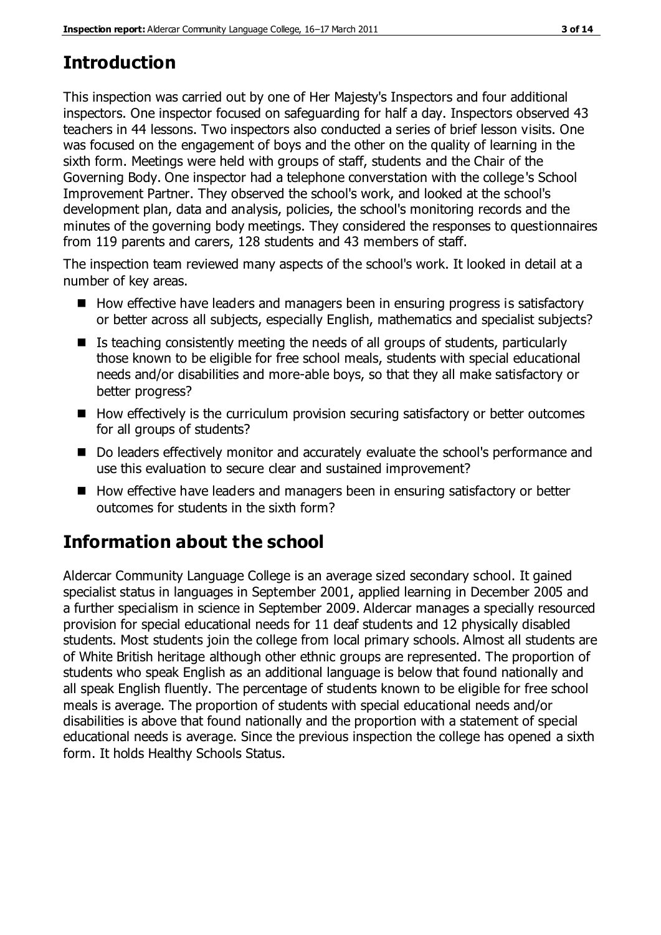# **Introduction**

This inspection was carried out by one of Her Majesty's Inspectors and four additional inspectors. One inspector focused on safeguarding for half a day. Inspectors observed 43 teachers in 44 lessons. Two inspectors also conducted a series of brief lesson visits. One was focused on the engagement of boys and the other on the quality of learning in the sixth form. Meetings were held with groups of staff, students and the Chair of the Governing Body. One inspector had a telephone converstation with the college's School Improvement Partner. They observed the school's work, and looked at the school's development plan, data and analysis, policies, the school's monitoring records and the minutes of the governing body meetings. They considered the responses to questionnaires from 119 parents and carers, 128 students and 43 members of staff.

The inspection team reviewed many aspects of the school's work. It looked in detail at a number of key areas.

- $\blacksquare$  How effective have leaders and managers been in ensuring progress is satisfactory or better across all subjects, especially English, mathematics and specialist subjects?
- $\blacksquare$  Is teaching consistently meeting the needs of all groups of students, particularly those known to be eligible for free school meals, students with special educational needs and/or disabilities and more-able boys, so that they all make satisfactory or better progress?
- $\blacksquare$  How effectively is the curriculum provision securing satisfactory or better outcomes for all groups of students?
- Do leaders effectively monitor and accurately evaluate the school's performance and use this evaluation to secure clear and sustained improvement?
- How effective have leaders and managers been in ensuring satisfactory or better outcomes for students in the sixth form?

# **Information about the school**

Aldercar Community Language College is an average sized secondary school. It gained specialist status in languages in September 2001, applied learning in December 2005 and a further specialism in science in September 2009. Aldercar manages a specially resourced provision for special educational needs for 11 deaf students and 12 physically disabled students. Most students join the college from local primary schools. Almost all students are of White British heritage although other ethnic groups are represented. The proportion of students who speak English as an additional language is below that found nationally and all speak English fluently. The percentage of students known to be eligible for free school meals is average. The proportion of students with special educational needs and/or disabilities is above that found nationally and the proportion with a statement of special educational needs is average. Since the previous inspection the college has opened a sixth form. It holds Healthy Schools Status.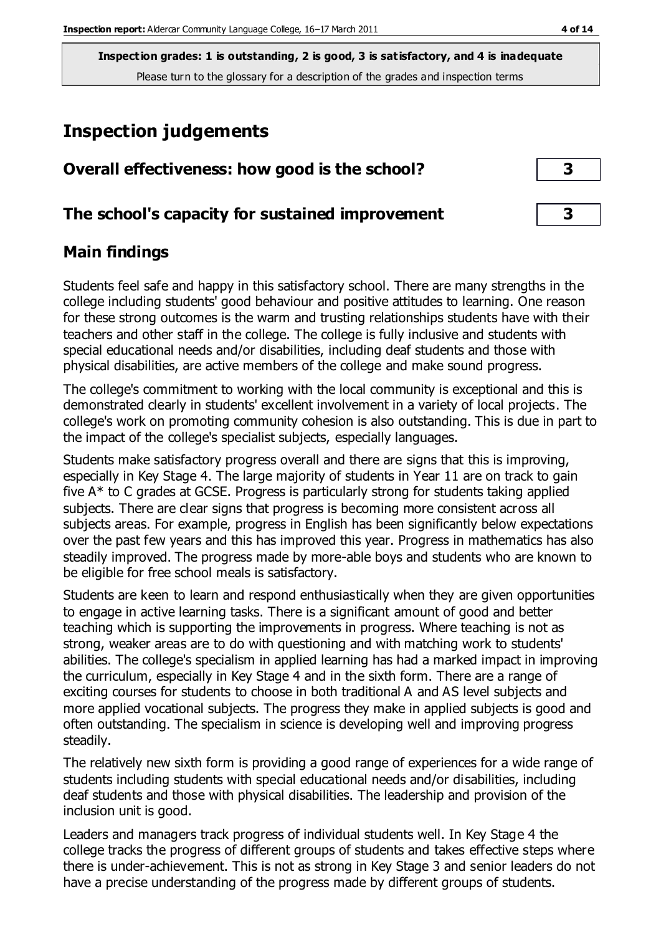### **Inspection judgements**

| Overall effectiveness: how good is the school?  |  |
|-------------------------------------------------|--|
| The school's capacity for sustained improvement |  |

### **Main findings**

Students feel safe and happy in this satisfactory school. There are many strengths in the college including students' good behaviour and positive attitudes to learning. One reason for these strong outcomes is the warm and trusting relationships students have with their teachers and other staff in the college. The college is fully inclusive and students with special educational needs and/or disabilities, including deaf students and those with physical disabilities, are active members of the college and make sound progress.

The college's commitment to working with the local community is exceptional and this is demonstrated clearly in students' excellent involvement in a variety of local projects. The college's work on promoting community cohesion is also outstanding. This is due in part to the impact of the college's specialist subjects, especially languages.

Students make satisfactory progress overall and there are signs that this is improving, especially in Key Stage 4. The large majority of students in Year 11 are on track to gain five A\* to C grades at GCSE. Progress is particularly strong for students taking applied subjects. There are clear signs that progress is becoming more consistent across all subjects areas. For example, progress in English has been significantly below expectations over the past few years and this has improved this year. Progress in mathematics has also steadily improved. The progress made by more-able boys and students who are known to be eligible for free school meals is satisfactory.

Students are keen to learn and respond enthusiastically when they are given opportunities to engage in active learning tasks. There is a significant amount of good and better teaching which is supporting the improvements in progress. Where teaching is not as strong, weaker areas are to do with questioning and with matching work to students' abilities. The college's specialism in applied learning has had a marked impact in improving the curriculum, especially in Key Stage 4 and in the sixth form. There are a range of exciting courses for students to choose in both traditional A and AS level subjects and more applied vocational subjects. The progress they make in applied subjects is good and often outstanding. The specialism in science is developing well and improving progress steadily.

The relatively new sixth form is providing a good range of experiences for a wide range of students including students with special educational needs and/or disabilities, including deaf students and those with physical disabilities. The leadership and provision of the inclusion unit is good.

Leaders and managers track progress of individual students well. In Key Stage 4 the college tracks the progress of different groups of students and takes effective steps where there is under-achievement. This is not as strong in Key Stage 3 and senior leaders do not have a precise understanding of the progress made by different groups of students.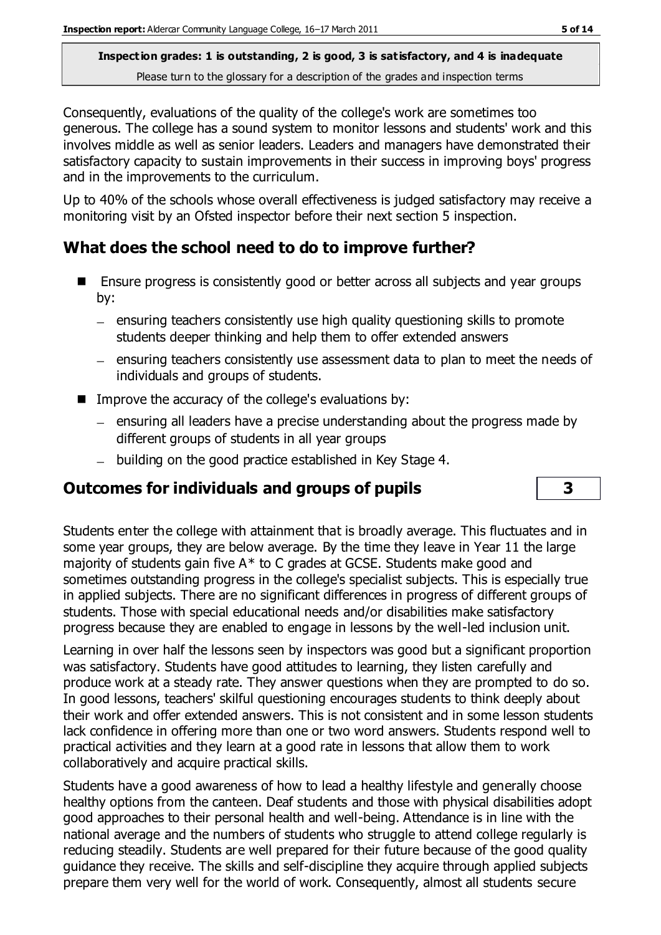Consequently, evaluations of the quality of the college's work are sometimes too generous. The college has a sound system to monitor lessons and students' work and this involves middle as well as senior leaders. Leaders and managers have demonstrated their satisfactory capacity to sustain improvements in their success in improving boys' progress and in the improvements to the curriculum.

Up to 40% of the schools whose overall effectiveness is judged satisfactory may receive a monitoring visit by an Ofsted inspector before their next section 5 inspection.

### **What does the school need to do to improve further?**

- Ensure progress is consistently good or better across all subjects and year groups by:
	- ensuring teachers consistently use high quality questioning skills to promote students deeper thinking and help them to offer extended answers
	- ensuring teachers consistently use assessment data to plan to meet the needs of individuals and groups of students.
- $\blacksquare$  Improve the accuracy of the college's evaluations by:
	- $-$  ensuring all leaders have a precise understanding about the progress made by different groups of students in all year groups
	- building on the good practice established in Key Stage 4.

### **Outcomes for individuals and groups of pupils 3**

Students enter the college with attainment that is broadly average. This fluctuates and in some year groups, they are below average. By the time they leave in Year 11 the large majority of students gain five A\* to C grades at GCSE. Students make good and sometimes outstanding progress in the college's specialist subjects. This is especially true in applied subjects. There are no significant differences in progress of different groups of students. Those with special educational needs and/or disabilities make satisfactory progress because they are enabled to engage in lessons by the well-led inclusion unit.

Learning in over half the lessons seen by inspectors was good but a significant proportion was satisfactory. Students have good attitudes to learning, they listen carefully and produce work at a steady rate. They answer questions when they are prompted to do so. In good lessons, teachers' skilful questioning encourages students to think deeply about their work and offer extended answers. This is not consistent and in some lesson students lack confidence in offering more than one or two word answers. Students respond well to practical activities and they learn at a good rate in lessons that allow them to work collaboratively and acquire practical skills.

Students have a good awareness of how to lead a healthy lifestyle and generally choose healthy options from the canteen. Deaf students and those with physical disabilities adopt good approaches to their personal health and well-being. Attendance is in line with the national average and the numbers of students who struggle to attend college regularly is reducing steadily. Students are well prepared for their future because of the good quality guidance they receive. The skills and self-discipline they acquire through applied subjects prepare them very well for the world of work. Consequently, almost all students secure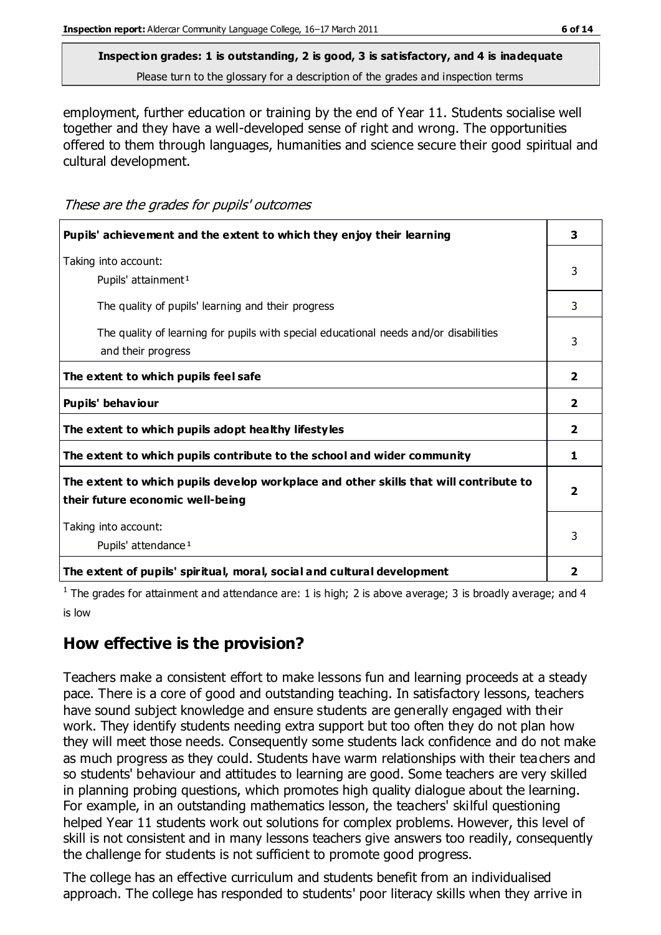# **Inspection grades: 1 is outstanding, 2 is good, 3 is satisfactory, and 4 is inadequate**

Please turn to the glossary for a description of the grades and inspection terms

employment, further education or training by the end of Year 11. Students socialise well together and they have a well-developed sense of right and wrong. The opportunities offered to them through languages, humanities and science secure their good spiritual and cultural development.

These are the grades for pupils' outcomes

| Pupils' achievement and the extent to which they enjoy their learning                                                     | 3              |
|---------------------------------------------------------------------------------------------------------------------------|----------------|
| Taking into account:<br>Pupils' attainment <sup>1</sup>                                                                   | 3              |
| The quality of pupils' learning and their progress                                                                        | 3              |
| The quality of learning for pupils with special educational needs and/or disabilities<br>and their progress               | 3              |
| The extent to which pupils feel safe                                                                                      | $\overline{2}$ |
| Pupils' behaviour                                                                                                         | 2              |
| The extent to which pupils adopt healthy lifestyles                                                                       | $\overline{2}$ |
| The extent to which pupils contribute to the school and wider community                                                   | 1              |
| The extent to which pupils develop workplace and other skills that will contribute to<br>their future economic well-being | 2              |
| Taking into account:<br>Pupils' attendance <sup>1</sup>                                                                   | 3              |
| The extent of pupils' spiritual, moral, social and cultural development                                                   | 2              |

<sup>1</sup> The grades for attainment and attendance are: 1 is high; 2 is above average; 3 is broadly average; and 4 is low

### **How effective is the provision?**

Teachers make a consistent effort to make lessons fun and learning proceeds at a steady pace. There is a core of good and outstanding teaching. In satisfactory lessons, teachers have sound subject knowledge and ensure students are generally engaged with their work. They identify students needing extra support but too often they do not plan how they will meet those needs. Consequently some students lack confidence and do not make as much progress as they could. Students have warm relationships with their teachers and so students' behaviour and attitudes to learning are good. Some teachers are very skilled in planning probing questions, which promotes high quality dialogue about the learning. For example, in an outstanding mathematics lesson, the teachers' skilful questioning helped Year 11 students work out solutions for complex problems. However, this level of skill is not consistent and in many lessons teachers give answers too readily, consequently the challenge for students is not sufficient to promote good progress.

The college has an effective curriculum and students benefit from an individualised approach. The college has responded to students' poor literacy skills when they arrive in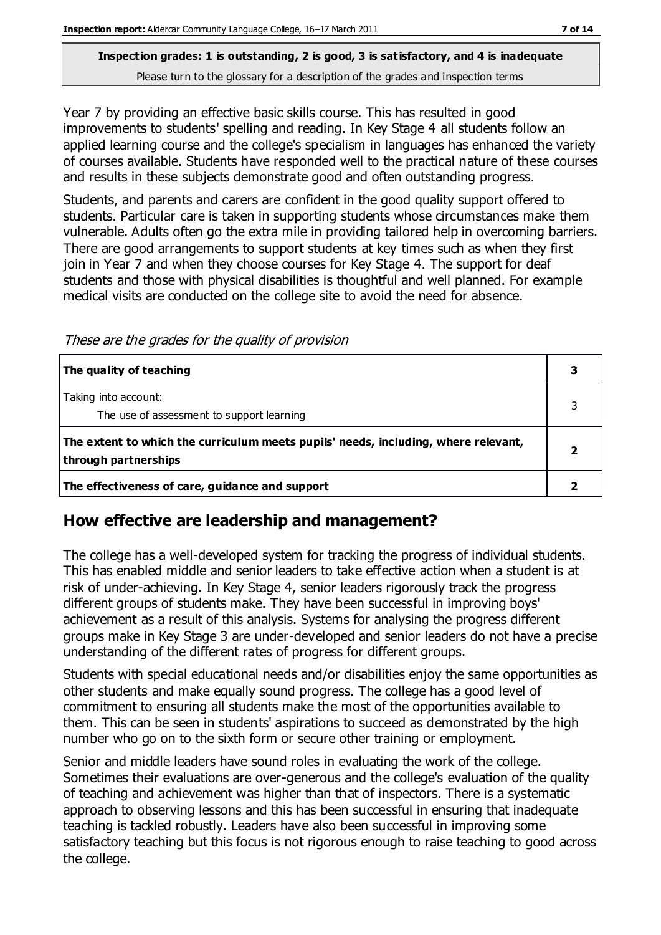Year 7 by providing an effective basic skills course. This has resulted in good improvements to students' spelling and reading. In Key Stage 4 all students follow an applied learning course and the college's specialism in languages has enhanced the variety of courses available. Students have responded well to the practical nature of these courses and results in these subjects demonstrate good and often outstanding progress.

Students, and parents and carers are confident in the good quality support offered to students. Particular care is taken in supporting students whose circumstances make them vulnerable. Adults often go the extra mile in providing tailored help in overcoming barriers. There are good arrangements to support students at key times such as when they first join in Year 7 and when they choose courses for Key Stage 4. The support for deaf students and those with physical disabilities is thoughtful and well planned. For example medical visits are conducted on the college site to avoid the need for absence.

These are the grades for the quality of provision

| The quality of teaching                                                                                    |  |
|------------------------------------------------------------------------------------------------------------|--|
| Taking into account:<br>The use of assessment to support learning                                          |  |
| The extent to which the curriculum meets pupils' needs, including, where relevant,<br>through partnerships |  |
| The effectiveness of care, guidance and support                                                            |  |

### **How effective are leadership and management?**

The college has a well-developed system for tracking the progress of individual students. This has enabled middle and senior leaders to take effective action when a student is at risk of under-achieving. In Key Stage 4, senior leaders rigorously track the progress different groups of students make. They have been successful in improving boys' achievement as a result of this analysis. Systems for analysing the progress different groups make in Key Stage 3 are under-developed and senior leaders do not have a precise understanding of the different rates of progress for different groups.

Students with special educational needs and/or disabilities enjoy the same opportunities as other students and make equally sound progress. The college has a good level of commitment to ensuring all students make the most of the opportunities available to them. This can be seen in students' aspirations to succeed as demonstrated by the high number who go on to the sixth form or secure other training or employment.

Senior and middle leaders have sound roles in evaluating the work of the college. Sometimes their evaluations are over-generous and the college's evaluation of the quality of teaching and achievement was higher than that of inspectors. There is a systematic approach to observing lessons and this has been successful in ensuring that inadequate teaching is tackled robustly. Leaders have also been successful in improving some satisfactory teaching but this focus is not rigorous enough to raise teaching to good across the college.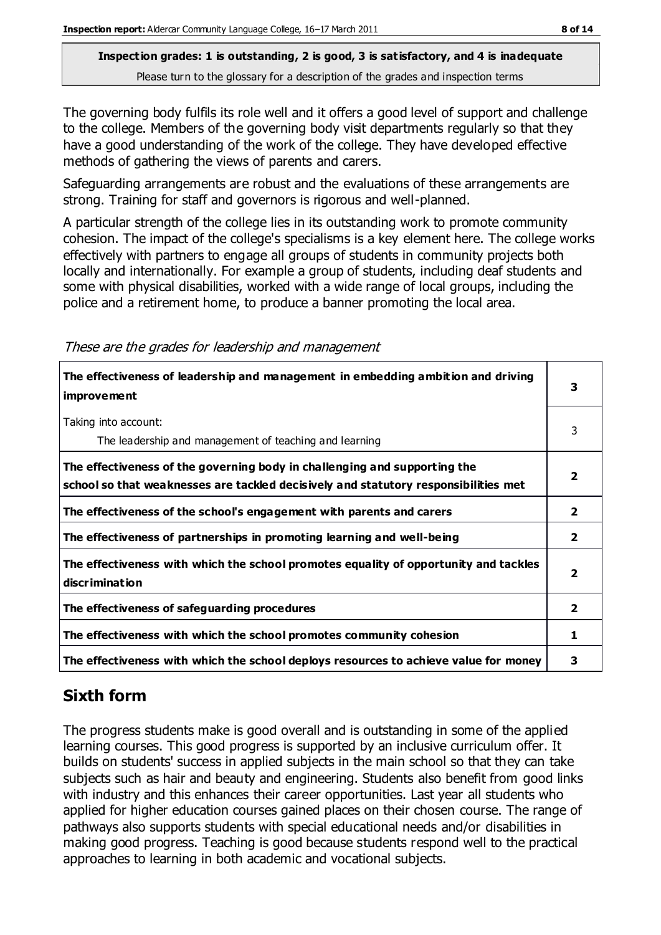The governing body fulfils its role well and it offers a good level of support and challenge to the college. Members of the governing body visit departments regularly so that they have a good understanding of the work of the college. They have developed effective methods of gathering the views of parents and carers.

Safeguarding arrangements are robust and the evaluations of these arrangements are strong. Training for staff and governors is rigorous and well-planned.

A particular strength of the college lies in its outstanding work to promote community cohesion. The impact of the college's specialisms is a key element here. The college works effectively with partners to engage all groups of students in community projects both locally and internationally. For example a group of students, including deaf students and some with physical disabilities, worked with a wide range of local groups, including the police and a retirement home, to produce a banner promoting the local area.

These are the grades for leadership and management

| The effectiveness of leadership and management in embedding ambition and driving<br><i>improvement</i>                                                           | 3                       |
|------------------------------------------------------------------------------------------------------------------------------------------------------------------|-------------------------|
| Taking into account:<br>The leadership and management of teaching and learning                                                                                   | 3                       |
| The effectiveness of the governing body in challenging and supporting the<br>school so that weaknesses are tackled decisively and statutory responsibilities met | $\overline{\mathbf{2}}$ |
| The effectiveness of the school's engagement with parents and carers                                                                                             | $\overline{2}$          |
| The effectiveness of partnerships in promoting learning and well-being                                                                                           | $\mathbf{2}$            |
| The effectiveness with which the school promotes equality of opportunity and tackles<br>discrimination                                                           | $\overline{\mathbf{2}}$ |
| The effectiveness of safeguarding procedures                                                                                                                     | $\mathbf{2}$            |
| The effectiveness with which the school promotes community cohesion                                                                                              | 1                       |
| The effectiveness with which the school deploys resources to achieve value for money                                                                             | 3                       |

# **Sixth form**

The progress students make is good overall and is outstanding in some of the applied learning courses. This good progress is supported by an inclusive curriculum offer. It builds on students' success in applied subjects in the main school so that they can take subjects such as hair and beauty and engineering. Students also benefit from good links with industry and this enhances their career opportunities. Last year all students who applied for higher education courses gained places on their chosen course. The range of pathways also supports students with special educational needs and/or disabilities in making good progress. Teaching is good because students respond well to the practical approaches to learning in both academic and vocational subjects.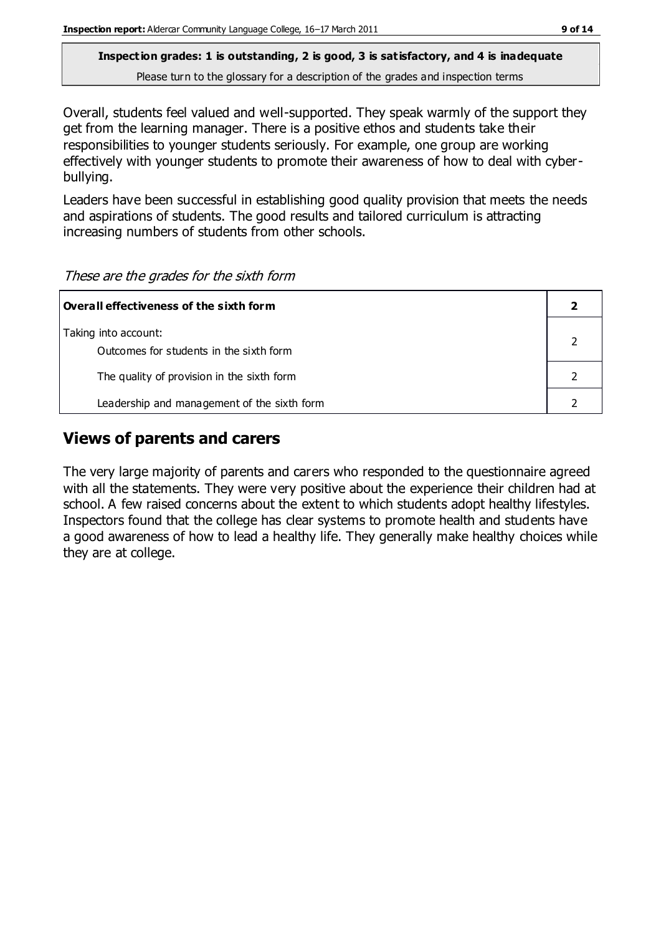Overall, students feel valued and well-supported. They speak warmly of the support they get from the learning manager. There is a positive ethos and students take their responsibilities to younger students seriously. For example, one group are working effectively with younger students to promote their awareness of how to deal with cyberbullying.

Leaders have been successful in establishing good quality provision that meets the needs and aspirations of students. The good results and tailored curriculum is attracting increasing numbers of students from other schools.

These are the grades for the sixth form

| Overall effectiveness of the sixth form                         |  |
|-----------------------------------------------------------------|--|
| Taking into account:<br>Outcomes for students in the sixth form |  |
| The quality of provision in the sixth form                      |  |
| Leadership and management of the sixth form                     |  |

### **Views of parents and carers**

The very large majority of parents and carers who responded to the questionnaire agreed with all the statements. They were very positive about the experience their children had at school. A few raised concerns about the extent to which students adopt healthy lifestyles. Inspectors found that the college has clear systems to promote health and students have a good awareness of how to lead a healthy life. They generally make healthy choices while they are at college.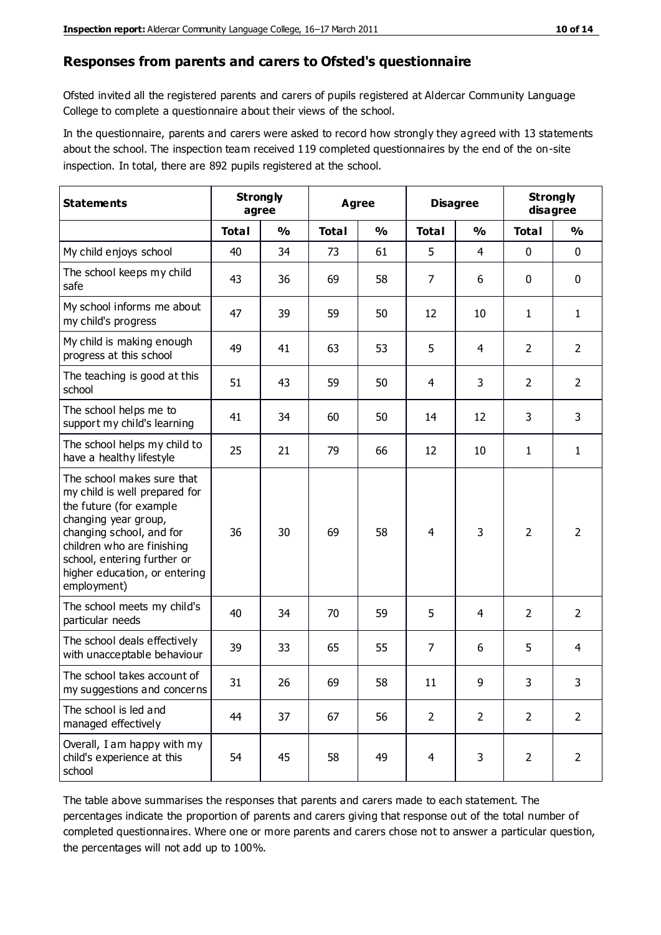#### **Responses from parents and carers to Ofsted's questionnaire**

Ofsted invited all the registered parents and carers of pupils registered at Aldercar Community Language College to complete a questionnaire about their views of the school.

In the questionnaire, parents and carers were asked to record how strongly they agreed with 13 statements about the school. The inspection team received 119 completed questionnaires by the end of the on-site inspection. In total, there are 892 pupils registered at the school.

| <b>Statements</b>                                                                                                                                                                                                                                       | <b>Strongly</b><br>Agree<br>agree |               |              | <b>Disagree</b> |                | <b>Strongly</b><br>disagree |                |                |
|---------------------------------------------------------------------------------------------------------------------------------------------------------------------------------------------------------------------------------------------------------|-----------------------------------|---------------|--------------|-----------------|----------------|-----------------------------|----------------|----------------|
|                                                                                                                                                                                                                                                         | <b>Total</b>                      | $\frac{0}{0}$ | <b>Total</b> | $\frac{0}{0}$   | <b>Total</b>   | $\frac{0}{0}$               | <b>Total</b>   | $\frac{0}{0}$  |
| My child enjoys school                                                                                                                                                                                                                                  | 40                                | 34            | 73           | 61              | 5              | $\overline{4}$              | $\mathbf 0$    | $\mathbf 0$    |
| The school keeps my child<br>safe                                                                                                                                                                                                                       | 43                                | 36            | 69           | 58              | 7              | 6                           | $\mathbf 0$    | $\mathbf 0$    |
| My school informs me about<br>my child's progress                                                                                                                                                                                                       | 47                                | 39            | 59           | 50              | 12             | 10                          | $\mathbf{1}$   | $\mathbf{1}$   |
| My child is making enough<br>progress at this school                                                                                                                                                                                                    | 49                                | 41            | 63           | 53              | 5              | 4                           | $\overline{2}$ | $\overline{2}$ |
| The teaching is good at this<br>school                                                                                                                                                                                                                  | 51                                | 43            | 59           | 50              | 4              | 3                           | $\overline{2}$ | $\overline{2}$ |
| The school helps me to<br>support my child's learning                                                                                                                                                                                                   | 41                                | 34            | 60           | 50              | 14             | 12                          | 3              | 3              |
| The school helps my child to<br>have a healthy lifestyle                                                                                                                                                                                                | 25                                | 21            | 79           | 66              | 12             | 10                          | $\mathbf{1}$   | $\mathbf{1}$   |
| The school makes sure that<br>my child is well prepared for<br>the future (for example<br>changing year group,<br>changing school, and for<br>children who are finishing<br>school, entering further or<br>higher education, or entering<br>employment) | 36                                | 30            | 69           | 58              | $\overline{4}$ | 3                           | $\overline{2}$ | $\overline{2}$ |
| The school meets my child's<br>particular needs                                                                                                                                                                                                         | 40                                | 34            | 70           | 59              | 5              | 4                           | $\overline{2}$ | $\overline{2}$ |
| The school deals effectively<br>with unacceptable behaviour                                                                                                                                                                                             | 39                                | 33            | 65           | 55              | 7              | 6                           | 5              | $\overline{4}$ |
| The school takes account of<br>my suggestions and concerns                                                                                                                                                                                              | 31                                | 26            | 69           | 58              | $11\,$         | 9                           | 3              | 3              |
| The school is led and<br>managed effectively                                                                                                                                                                                                            | 44                                | 37            | 67           | 56              | $\overline{2}$ | $\overline{2}$              | $\overline{2}$ | $\overline{2}$ |
| Overall, I am happy with my<br>child's experience at this<br>school                                                                                                                                                                                     | 54                                | 45            | 58           | 49              | $\overline{4}$ | 3                           | $\overline{2}$ | $\overline{2}$ |

The table above summarises the responses that parents and carers made to each statement. The percentages indicate the proportion of parents and carers giving that response out of the total number of completed questionnaires. Where one or more parents and carers chose not to answer a particular question, the percentages will not add up to 100%.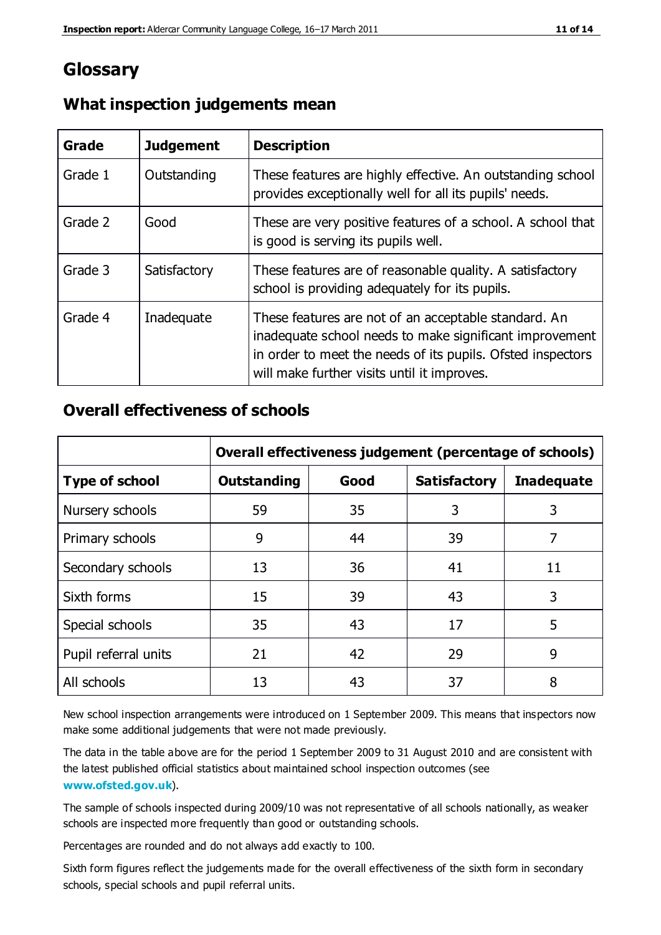### **Glossary**

| Grade   | <b>Judgement</b> | <b>Description</b>                                                                                                                                                                                                            |
|---------|------------------|-------------------------------------------------------------------------------------------------------------------------------------------------------------------------------------------------------------------------------|
| Grade 1 | Outstanding      | These features are highly effective. An outstanding school<br>provides exceptionally well for all its pupils' needs.                                                                                                          |
| Grade 2 | Good             | These are very positive features of a school. A school that<br>is good is serving its pupils well.                                                                                                                            |
| Grade 3 | Satisfactory     | These features are of reasonable quality. A satisfactory<br>school is providing adequately for its pupils.                                                                                                                    |
| Grade 4 | Inadequate       | These features are not of an acceptable standard. An<br>inadequate school needs to make significant improvement<br>in order to meet the needs of its pupils. Ofsted inspectors<br>will make further visits until it improves. |

### **What inspection judgements mean**

### **Overall effectiveness of schools**

|                       | Overall effectiveness judgement (percentage of schools) |      |                     |                   |
|-----------------------|---------------------------------------------------------|------|---------------------|-------------------|
| <b>Type of school</b> | <b>Outstanding</b>                                      | Good | <b>Satisfactory</b> | <b>Inadequate</b> |
| Nursery schools       | 59                                                      | 35   | 3                   | 3                 |
| Primary schools       | 9                                                       | 44   | 39                  | 7                 |
| Secondary schools     | 13                                                      | 36   | 41                  | 11                |
| Sixth forms           | 15                                                      | 39   | 43                  | 3                 |
| Special schools       | 35                                                      | 43   | 17                  | 5                 |
| Pupil referral units  | 21                                                      | 42   | 29                  | 9                 |
| All schools           | 13                                                      | 43   | 37                  | 8                 |

New school inspection arrangements were introduced on 1 September 2009. This means that inspectors now make some additional judgements that were not made previously.

The data in the table above are for the period 1 September 2009 to 31 August 2010 and are consistent with the latest published official statistics about maintained school inspection outcomes (see **[www.ofsted.gov.uk](http://www.ofsted.gov.uk/)**).

The sample of schools inspected during 2009/10 was not representative of all schools nationally, as weaker schools are inspected more frequently than good or outstanding schools.

Percentages are rounded and do not always add exactly to 100.

Sixth form figures reflect the judgements made for the overall effectiveness of the sixth form in secondary schools, special schools and pupil referral units.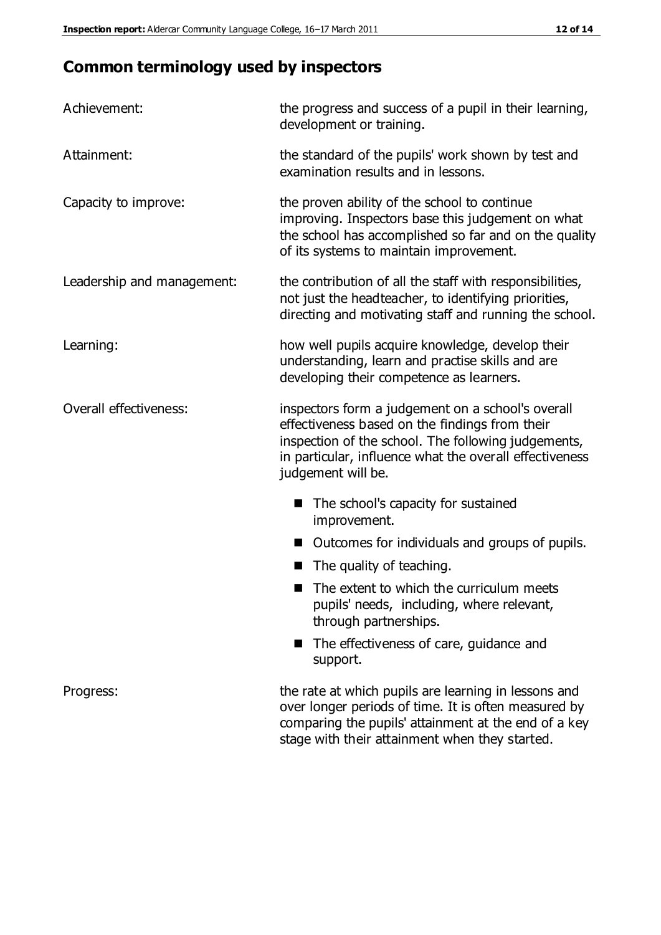## **Common terminology used by inspectors**

| Achievement:               | the progress and success of a pupil in their learning,<br>development or training.                                                                                                                                                          |
|----------------------------|---------------------------------------------------------------------------------------------------------------------------------------------------------------------------------------------------------------------------------------------|
| Attainment:                | the standard of the pupils' work shown by test and<br>examination results and in lessons.                                                                                                                                                   |
| Capacity to improve:       | the proven ability of the school to continue<br>improving. Inspectors base this judgement on what<br>the school has accomplished so far and on the quality<br>of its systems to maintain improvement.                                       |
| Leadership and management: | the contribution of all the staff with responsibilities,<br>not just the headteacher, to identifying priorities,<br>directing and motivating staff and running the school.                                                                  |
| Learning:                  | how well pupils acquire knowledge, develop their<br>understanding, learn and practise skills and are<br>developing their competence as learners.                                                                                            |
| Overall effectiveness:     | inspectors form a judgement on a school's overall<br>effectiveness based on the findings from their<br>inspection of the school. The following judgements,<br>in particular, influence what the overall effectiveness<br>judgement will be. |
|                            | The school's capacity for sustained<br>improvement.                                                                                                                                                                                         |
|                            | Outcomes for individuals and groups of pupils.                                                                                                                                                                                              |
|                            | The quality of teaching.                                                                                                                                                                                                                    |
|                            | The extent to which the curriculum meets<br>pupils' needs, including, where relevant,<br>through partnerships.                                                                                                                              |
|                            | The effectiveness of care, guidance and<br>support.                                                                                                                                                                                         |
| Progress:                  | the rate at which pupils are learning in lessons and<br>over longer periods of time. It is often measured by<br>comparing the pupils' attainment at the end of a key                                                                        |

stage with their attainment when they started.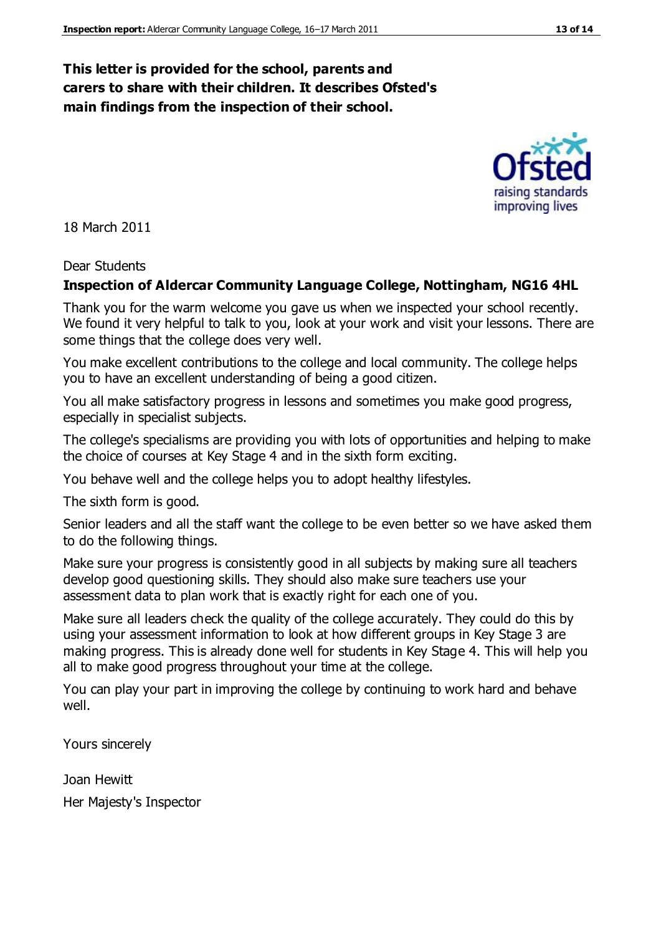#### **This letter is provided for the school, parents and carers to share with their children. It describes Ofsted's main findings from the inspection of their school.**

18 March 2011

#### Dear Students

#### **Inspection of Aldercar Community Language College, Nottingham, NG16 4HL**

Thank you for the warm welcome you gave us when we inspected your school recently. We found it very helpful to talk to you, look at your work and visit your lessons. There are some things that the college does very well.

You make excellent contributions to the college and local community. The college helps you to have an excellent understanding of being a good citizen.

You all make satisfactory progress in lessons and sometimes you make good progress, especially in specialist subjects.

The college's specialisms are providing you with lots of opportunities and helping to make the choice of courses at Key Stage 4 and in the sixth form exciting.

You behave well and the college helps you to adopt healthy lifestyles.

The sixth form is good.

Senior leaders and all the staff want the college to be even better so we have asked them to do the following things.

Make sure your progress is consistently good in all subjects by making sure all teachers develop good questioning skills. They should also make sure teachers use your assessment data to plan work that is exactly right for each one of you.

Make sure all leaders check the quality of the college accurately. They could do this by using your assessment information to look at how different groups in Key Stage 3 are making progress. This is already done well for students in Key Stage 4. This will help you all to make good progress throughout your time at the college.

You can play your part in improving the college by continuing to work hard and behave well.

Yours sincerely

Joan Hewitt

Her Majesty's Inspector